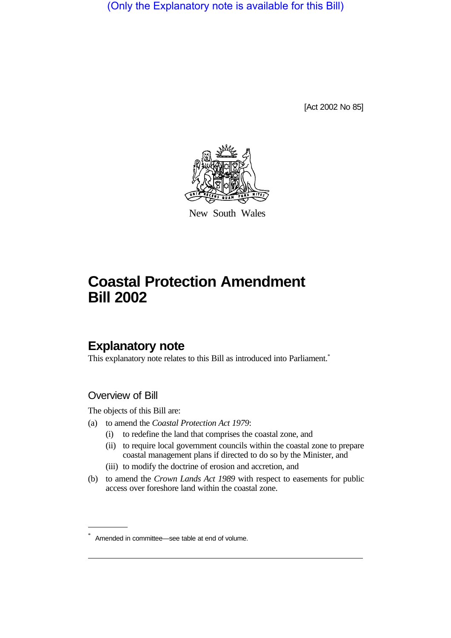(Only the Explanatory note is available for this Bill)

[Act 2002 No 85]



New South Wales

# **Coastal Protection Amendment Bill 2002**

# **Explanatory note**

This explanatory note relates to this Bill as introduced into Parliament.<sup>\*</sup>

### Overview of Bill

The objects of this Bill are:

- (a) to amend the *Coastal Protection Act 1979*:
	- (i) to redefine the land that comprises the coastal zone, and
	- (ii) to require local government councils within the coastal zone to prepare coastal management plans if directed to do so by the Minister, and
	- (iii) to modify the doctrine of erosion and accretion, and
- (b) to amend the *Crown Lands Act 1989* with respect to easements for public access over foreshore land within the coastal zone.

Amended in committee—see table at end of volume.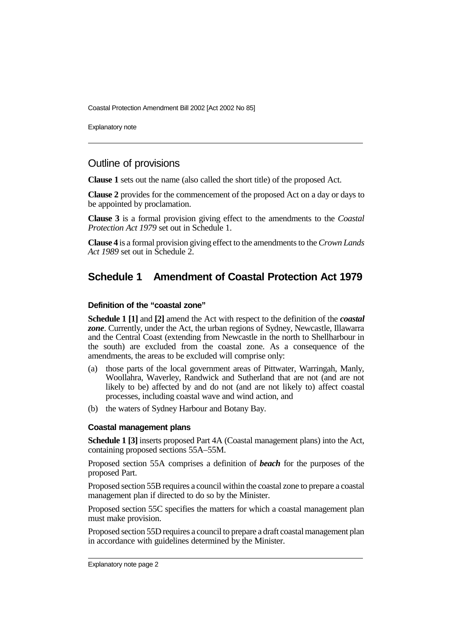Coastal Protection Amendment Bill 2002 [Act 2002 No 85]

Explanatory note

### Outline of provisions

**Clause 1** sets out the name (also called the short title) of the proposed Act.

**Clause 2** provides for the commencement of the proposed Act on a day or days to be appointed by proclamation.

**Clause 3** is a formal provision giving effect to the amendments to the *Coastal Protection Act 1979* set out in Schedule 1.

**Clause 4** is a formal provision giving effect to the amendments to the *Crown Lands Act 1989* set out in Schedule 2.

### **Schedule 1 Amendment of Coastal Protection Act 1979**

#### **Definition of the "coastal zone"**

**Schedule 1 [1]** and **[2]** amend the Act with respect to the definition of the *coastal zone*. Currently, under the Act, the urban regions of Sydney, Newcastle, Illawarra and the Central Coast (extending from Newcastle in the north to Shellharbour in the south) are excluded from the coastal zone. As a consequence of the amendments, the areas to be excluded will comprise only:

- (a) those parts of the local government areas of Pittwater, Warringah, Manly, Woollahra, Waverley, Randwick and Sutherland that are not (and are not likely to be) affected by and do not (and are not likely to) affect coastal processes, including coastal wave and wind action, and
- (b) the waters of Sydney Harbour and Botany Bay.

#### **Coastal management plans**

**Schedule 1 [3]** inserts proposed Part 4A (Coastal management plans) into the Act, containing proposed sections 55A–55M.

Proposed section 55A comprises a definition of *beach* for the purposes of the proposed Part.

Proposed section 55B requires a council within the coastal zone to prepare a coastal management plan if directed to do so by the Minister.

Proposed section 55C specifies the matters for which a coastal management plan must make provision.

Proposed section 55D requires a council to prepare a draft coastal management plan in accordance with guidelines determined by the Minister.

Explanatory note page 2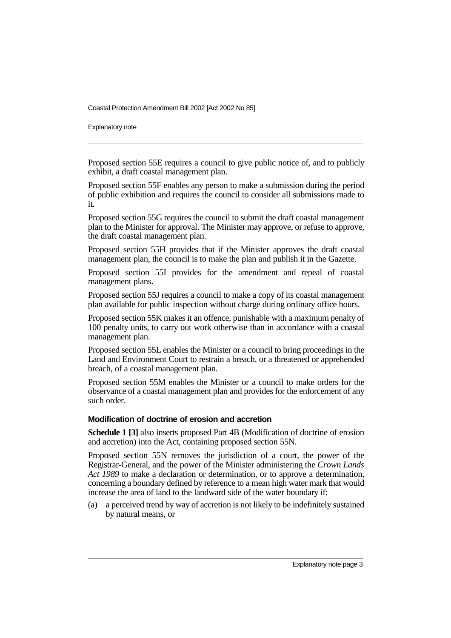Coastal Protection Amendment Bill 2002 [Act 2002 No 85]

Explanatory note

Proposed section 55E requires a council to give public notice of, and to publicly exhibit, a draft coastal management plan.

Proposed section 55F enables any person to make a submission during the period of public exhibition and requires the council to consider all submissions made to it.

Proposed section 55G requires the council to submit the draft coastal management plan to the Minister for approval. The Minister may approve, or refuse to approve, the draft coastal management plan.

Proposed section 55H provides that if the Minister approves the draft coastal management plan, the council is to make the plan and publish it in the Gazette.

Proposed section 55I provides for the amendment and repeal of coastal management plans.

Proposed section 55J requires a council to make a copy of its coastal management plan available for public inspection without charge during ordinary office hours.

Proposed section 55K makes it an offence, punishable with a maximum penalty of 100 penalty units, to carry out work otherwise than in accordance with a coastal management plan.

Proposed section 55L enables the Minister or a council to bring proceedings in the Land and Environment Court to restrain a breach, or a threatened or apprehended breach, of a coastal management plan.

Proposed section 55M enables the Minister or a council to make orders for the observance of a coastal management plan and provides for the enforcement of any such order.

#### **Modification of doctrine of erosion and accretion**

**Schedule 1 [3]** also inserts proposed Part 4B (Modification of doctrine of erosion and accretion) into the Act, containing proposed section 55N.

Proposed section 55N removes the jurisdiction of a court, the power of the Registrar-General, and the power of the Minister administering the *Crown Lands Act 1989* to make a declaration or determination, or to approve a determination, concerning a boundary defined by reference to a mean high water mark that would increase the area of land to the landward side of the water boundary if:

(a) a perceived trend by way of accretion is not likely to be indefinitely sustained by natural means, or